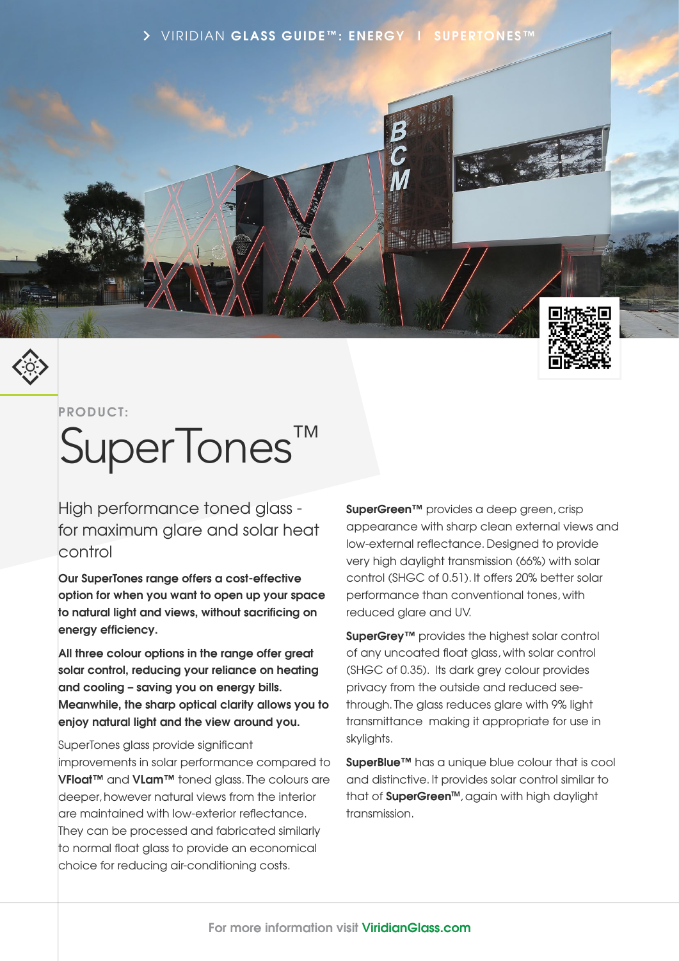



### **PRODUCT:**

# SuperTones™

High performance toned glass for maximum glare and solar heat control

**Our SuperTones range offers a cost-effective option for when you want to open up your space to natural light and views, without sacrificing on energy efficiency.**

**All three colour options in the range offer great solar control, reducing your reliance on heating and cooling – saving you on energy bills. Meanwhile, the sharp optical clarity allows you to enjoy natural light and the view around you.**

SuperTones glass provide significant

improvements in solar performance compared to **VFloat™** and **VLam™** toned glass. The colours are deeper, however natural views from the interior are maintained with low-exterior reflectance. They can be processed and fabricated similarly to normal float glass to provide an economical choice for reducing air-conditioning costs.

**SuperGreen™** provides a deep green, crisp appearance with sharp clean external views and low-external reflectance. Designed to provide very high daylight transmission (66%) with solar control (SHGC of 0.51). It offers 20% better solar performance than conventional tones, with reduced glare and UV.

**SuperGrey™** provides the highest solar control of any uncoated float glass, with solar control (SHGC of 0.35). Its dark grey colour provides privacy from the outside and reduced seethrough. The glass reduces glare with 9% light transmittance making it appropriate for use in skylights.

**SuperBlue™** has a unique blue colour that is cool and distinctive. It provides solar control similar to that of **SuperGreen™**, again with high daylight transmission.